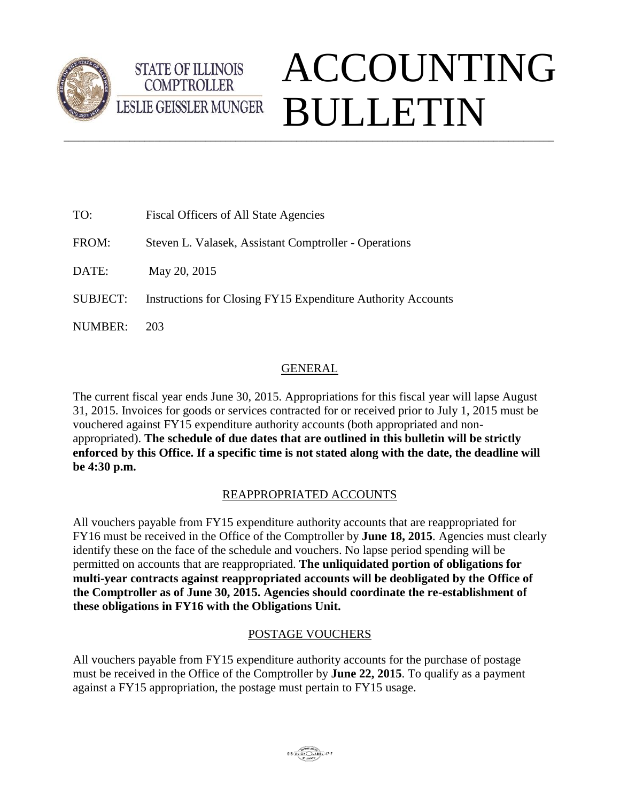

# ACCOUNTING BULLETIN**LESLIE GEISSLER MUNGER**  $\_$  ,  $\_$  ,  $\_$  ,  $\_$  ,  $\_$  ,  $\_$  ,  $\_$  ,  $\_$  ,  $\_$  ,  $\_$  ,  $\_$  ,  $\_$  ,  $\_$  ,  $\_$  ,  $\_$  ,  $\_$  ,  $\_$  ,  $\_$  ,  $\_$  ,  $\_$  ,  $\_$  ,  $\_$  ,  $\_$  ,  $\_$  ,  $\_$  ,  $\_$  ,  $\_$  ,  $\_$  ,  $\_$  ,  $\_$  ,  $\_$  ,  $\_$  ,  $\_$  ,  $\_$  ,  $\_$  ,  $\_$  ,  $\_$  ,

| TO:             | Fiscal Officers of All State Agencies                        |
|-----------------|--------------------------------------------------------------|
| FROM:           | Steven L. Valasek, Assistant Comptroller - Operations        |
| DATE:           | May 20, 2015                                                 |
| <b>SUBJECT:</b> | Instructions for Closing FY15 Expenditure Authority Accounts |
| <b>NUMBER:</b>  | 203                                                          |

**STATE OF ILLINOIS COMPTROLLER** 

## GENERAL

The current fiscal year ends June 30, 2015. Appropriations for this fiscal year will lapse August 31, 2015. Invoices for goods or services contracted for or received prior to July 1, 2015 must be vouchered against FY15 expenditure authority accounts (both appropriated and nonappropriated). **The schedule of due dates that are outlined in this bulletin will be strictly enforced by this Office. If a specific time is not stated along with the date, the deadline will be 4:30 p.m.** 

# REAPPROPRIATED ACCOUNTS

All vouchers payable from FY15 expenditure authority accounts that are reappropriated for FY16 must be received in the Office of the Comptroller by **June 18, 2015**. Agencies must clearly identify these on the face of the schedule and vouchers. No lapse period spending will be permitted on accounts that are reappropriated. **The unliquidated portion of obligations for multi-year contracts against reappropriated accounts will be deobligated by the Office of the Comptroller as of June 30, 2015. Agencies should coordinate the re-establishment of these obligations in FY16 with the Obligations Unit.** 

## POSTAGE VOUCHERS

All vouchers payable from FY15 expenditure authority accounts for the purchase of postage must be received in the Office of the Comptroller by **June 22, 2015**. To qualify as a payment against a FY15 appropriation, the postage must pertain to FY15 usage.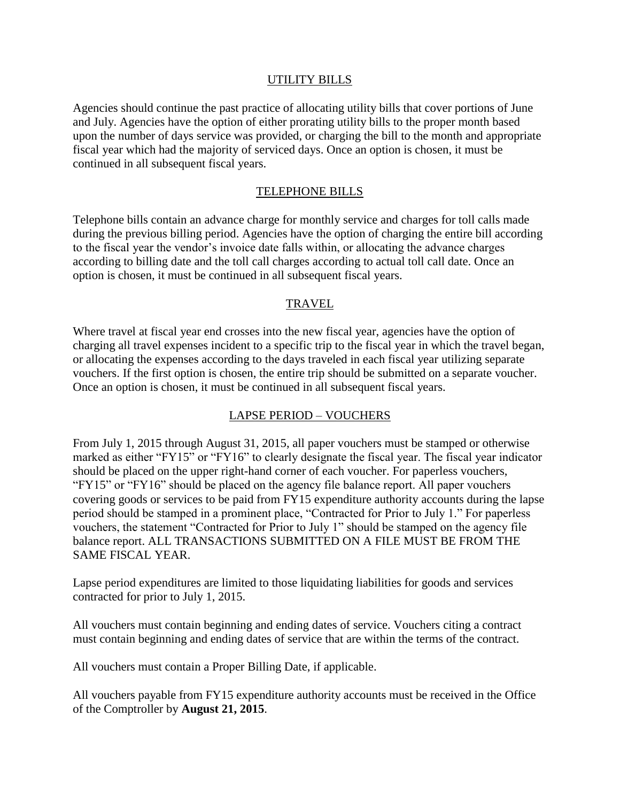### UTILITY BILLS

Agencies should continue the past practice of allocating utility bills that cover portions of June and July. Agencies have the option of either prorating utility bills to the proper month based upon the number of days service was provided, or charging the bill to the month and appropriate fiscal year which had the majority of serviced days. Once an option is chosen, it must be continued in all subsequent fiscal years.

#### TELEPHONE BILLS

Telephone bills contain an advance charge for monthly service and charges for toll calls made during the previous billing period. Agencies have the option of charging the entire bill according to the fiscal year the vendor's invoice date falls within, or allocating the advance charges according to billing date and the toll call charges according to actual toll call date. Once an option is chosen, it must be continued in all subsequent fiscal years.

### TRAVEL

Where travel at fiscal year end crosses into the new fiscal year, agencies have the option of charging all travel expenses incident to a specific trip to the fiscal year in which the travel began, or allocating the expenses according to the days traveled in each fiscal year utilizing separate vouchers. If the first option is chosen, the entire trip should be submitted on a separate voucher. Once an option is chosen, it must be continued in all subsequent fiscal years.

### LAPSE PERIOD – VOUCHERS

From July 1, 2015 through August 31, 2015, all paper vouchers must be stamped or otherwise marked as either "FY15" or "FY16" to clearly designate the fiscal year. The fiscal year indicator should be placed on the upper right-hand corner of each voucher. For paperless vouchers, "FY15" or "FY16" should be placed on the agency file balance report. All paper vouchers covering goods or services to be paid from FY15 expenditure authority accounts during the lapse period should be stamped in a prominent place, "Contracted for Prior to July 1." For paperless vouchers, the statement "Contracted for Prior to July 1" should be stamped on the agency file balance report. ALL TRANSACTIONS SUBMITTED ON A FILE MUST BE FROM THE SAME FISCAL YEAR.

Lapse period expenditures are limited to those liquidating liabilities for goods and services contracted for prior to July 1, 2015.

All vouchers must contain beginning and ending dates of service. Vouchers citing a contract must contain beginning and ending dates of service that are within the terms of the contract.

All vouchers must contain a Proper Billing Date, if applicable.

All vouchers payable from FY15 expenditure authority accounts must be received in the Office of the Comptroller by **August 21, 2015**.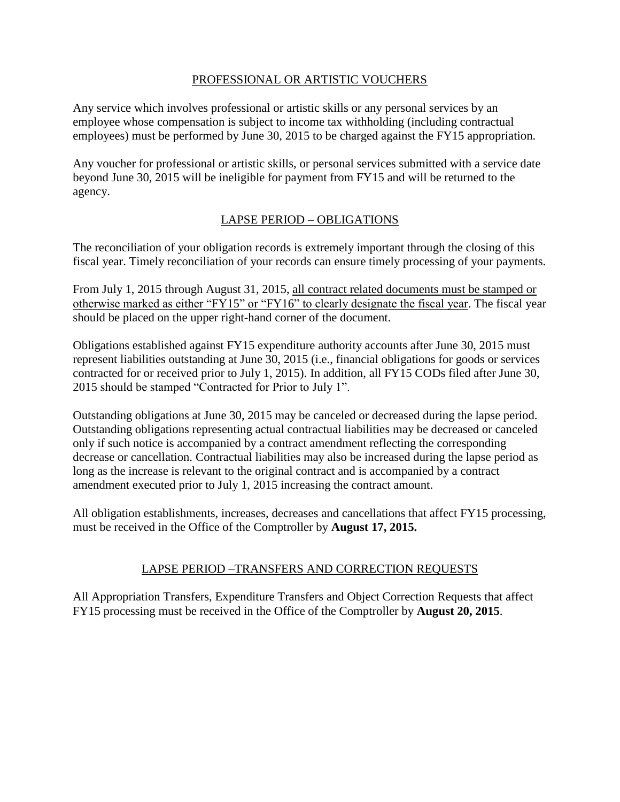## PROFESSIONAL OR ARTISTIC VOUCHERS

Any service which involves professional or artistic skills or any personal services by an employee whose compensation is subject to income tax withholding (including contractual employees) must be performed by June 30, 2015 to be charged against the FY15 appropriation.

Any voucher for professional or artistic skills, or personal services submitted with a service date beyond June 30, 2015 will be ineligible for payment from FY15 and will be returned to the agency.

## LAPSE PERIOD – OBLIGATIONS

The reconciliation of your obligation records is extremely important through the closing of this fiscal year. Timely reconciliation of your records can ensure timely processing of your payments.

From July 1, 2015 through August 31, 2015, all contract related documents must be stamped or otherwise marked as either "FY15" or "FY16" to clearly designate the fiscal year. The fiscal year should be placed on the upper right-hand corner of the document.

Obligations established against FY15 expenditure authority accounts after June 30, 2015 must represent liabilities outstanding at June 30, 2015 (i.e., financial obligations for goods or services contracted for or received prior to July 1, 2015). In addition, all FY15 CODs filed after June 30, 2015 should be stamped "Contracted for Prior to July 1".

Outstanding obligations at June 30, 2015 may be canceled or decreased during the lapse period. Outstanding obligations representing actual contractual liabilities may be decreased or canceled only if such notice is accompanied by a contract amendment reflecting the corresponding decrease or cancellation. Contractual liabilities may also be increased during the lapse period as long as the increase is relevant to the original contract and is accompanied by a contract amendment executed prior to July 1, 2015 increasing the contract amount.

All obligation establishments, increases, decreases and cancellations that affect FY15 processing, must be received in the Office of the Comptroller by **August 17, 2015.** 

## LAPSE PERIOD –TRANSFERS AND CORRECTION REQUESTS

All Appropriation Transfers, Expenditure Transfers and Object Correction Requests that affect FY15 processing must be received in the Office of the Comptroller by **August 20, 2015**.